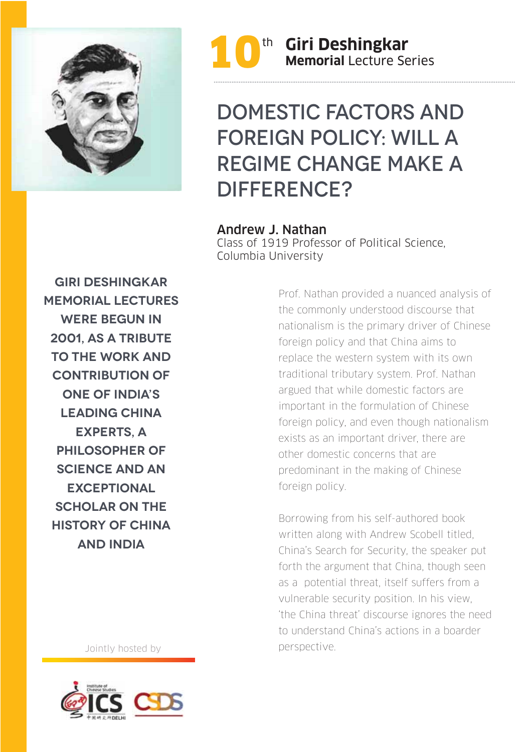



## Domestic factors and Foreign policy: Will a regime change make a DIFFERENCE?

Andrew J. Nathan

Class of 1919 Professor of Political Science, Columbia University

**Giri Deshingkar Memorial Lectures were begun in 2001, as a tribute to the work and CONTRIBUTION OF one of India's leading China experts, a philosopher of science and an exceptional SCHOLAR ON THE history of China and India**

Jointly hosted by



Prof. Nathan provided a nuanced analysis of the commonly understood discourse that nationalism is the primary driver of Chinese foreign policy and that China aims to replace the western system with its own traditional tributary system. Prof. Nathan argued that while domestic factors are important in the formulation of Chinese foreign policy, and even though nationalism exists as an important driver, there are other domestic concerns that are predominant in the making of Chinese foreign policy.

Borrowing from his self-authored book written along with Andrew Scobell titled, China's Search for Security, the speaker put forth the argument that China, though seen as a potential threat, itself suffers from a vulnerable security position. In his view, 'the China threat' discourse ignores the need to understand China's actions in a boarder perspective.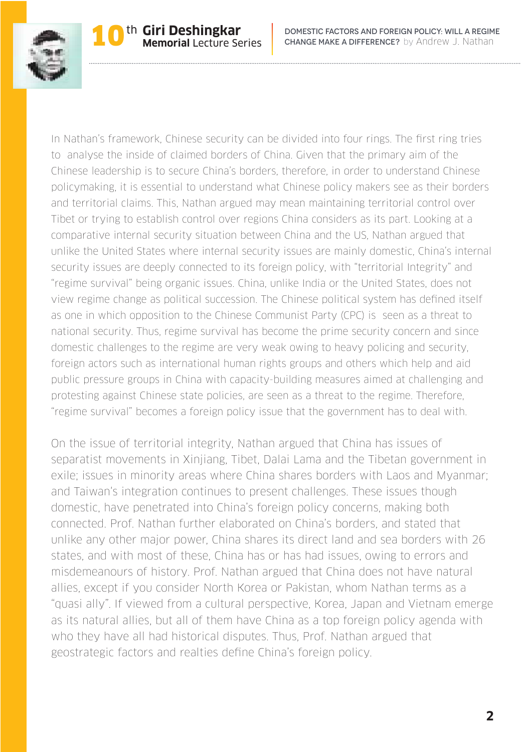

In Nathan's framework, Chinese security can be divided into four rings. The first ring tries to analyse the inside of claimed borders of China. Given that the primary aim of the Chinese leadership is to secure China's borders, therefore, in order to understand Chinese policymaking, it is essential to understand what Chinese policy makers see as their borders and territorial claims. This, Nathan argued may mean maintaining territorial control over Tibet or trying to establish control over regions China considers as its part. Looking at a comparative internal security situation between China and the US, Nathan argued that unlike the United States where internal security issues are mainly domestic, China's internal security issues are deeply connected to its foreign policy, with "territorial Integrity" and "regime survival" being organic issues. China, unlike India or the United States, does not view regime change as political succession. The Chinese political system has defined itself as one in which opposition to the Chinese Communist Party (CPC) is seen as a threat to national security. Thus, regime survival has become the prime security concern and since domestic challenges to the regime are very weak owing to heavy policing and security, foreign actors such as international human rights groups and others which help and aid public pressure groups in China with capacity-building measures aimed at challenging and protesting against Chinese state policies, are seen as a threat to the regime. Therefore, "regime survival" becomes a foreign policy issue that the government has to deal with.

On the issue of territorial integrity, Nathan argued that China has issues of separatist movements in Xinjiang, Tibet, Dalai Lama and the Tibetan government in exile; issues in minority areas where China shares borders with Laos and Myanmar; and Taiwan's integration continues to present challenges. These issues though domestic, have penetrated into China's foreign policy concerns, making both connected. Prof. Nathan further elaborated on China's borders, and stated that unlike any other major power, China shares its direct land and sea borders with 26 states, and with most of these, China has or has had issues, owing to errors and misdemeanours of history. Prof. Nathan argued that China does not have natural allies, except if you consider North Korea or Pakistan, whom Nathan terms as a "quasi ally". If viewed from a cultural perspective, Korea, Japan and Vietnam emerge as its natural allies, but all of them have China as a top foreign policy agenda with who they have all had historical disputes. Thus, Prof. Nathan argued that geostrategic factors and realties define China's foreign policy.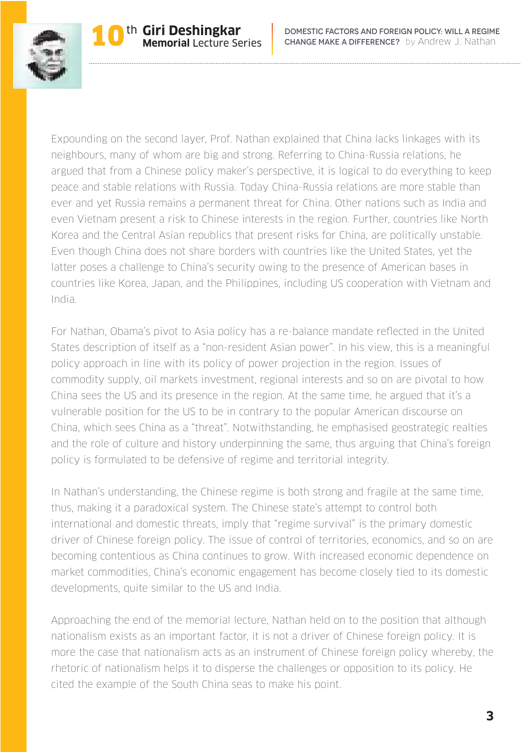

Expounding on the second layer, Prof. Nathan explained that China lacks linkages with its neighbours, many of whom are big and strong. Referring to China-Russia relations, he argued that from a Chinese policy maker's perspective, it is logical to do everything to keep peace and stable relations with Russia. Today China-Russia relations are more stable than ever and yet Russia remains a permanent threat for China. Other nations such as India and even Vietnam present a risk to Chinese interests in the region. Further, countries like North Korea and the Central Asian republics that present risks for China, are politically unstable. Even though China does not share borders with countries like the United States, yet the latter poses a challenge to China's security owing to the presence of American bases in countries like Korea, Japan, and the Philippines, including US cooperation with Vietnam and India.

For Nathan, Obama's pivot to Asia policy has a re-balance mandate reflected in the United States description of itself as a "non-resident Asian power". In his view, this is a meaningful policy approach in line with its policy of power projection in the region. Issues of commodity supply, oil markets investment, regional interests and so on are pivotal to how China sees the US and its presence in the region. At the same time, he argued that it's a vulnerable position for the US to be in contrary to the popular American discourse on China, which sees China as a "threat". Notwithstanding, he emphasised geostrategic realties and the role of culture and history underpinning the same, thus arguing that China's foreign policy is formulated to be defensive of regime and territorial integrity.

In Nathan's understanding, the Chinese regime is both strong and fragile at the same time, thus, making it a paradoxical system. The Chinese state's attempt to control both international and domestic threats, imply that "regime survival" is the primary domestic driver of Chinese foreign policy. The issue of control of territories, economics, and so on are becoming contentious as China continues to grow. With increased economic dependence on market commodities, China's economic engagement has become closely tied to its domestic developments, quite similar to the US and India.

Approaching the end of the memorial lecture, Nathan held on to the position that although nationalism exists as an important factor, it is not a driver of Chinese foreign policy. It is more the case that nationalism acts as an instrument of Chinese foreign policy whereby, the rhetoric of nationalism helps it to disperse the challenges or opposition to its policy. He cited the example of the South China seas to make his point.